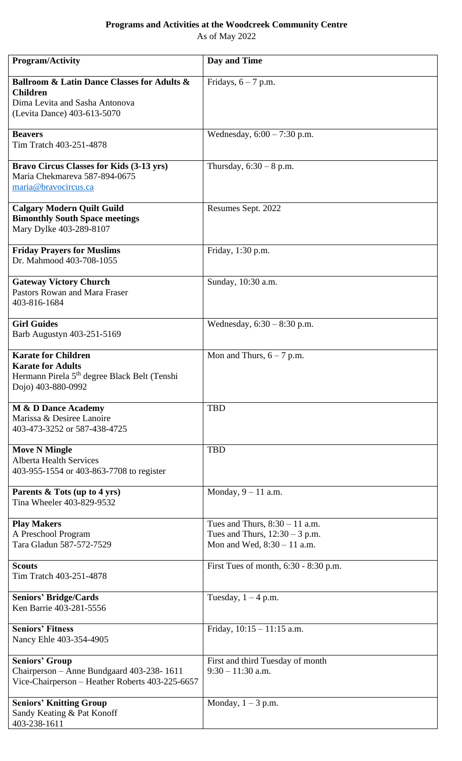## **Programs and Activities at the Woodcreek Community Centre**

As of May 2022

| <b>Program/Activity</b>                                                                                                                  | Day and Time                                                                                          |
|------------------------------------------------------------------------------------------------------------------------------------------|-------------------------------------------------------------------------------------------------------|
| <b>Ballroom &amp; Latin Dance Classes for Adults &amp;</b><br><b>Children</b>                                                            | Fridays, $6 - 7$ p.m.                                                                                 |
| Dima Levita and Sasha Antonova<br>(Levita Dance) 403-613-5070                                                                            |                                                                                                       |
| <b>Beavers</b><br>Tim Tratch 403-251-4878                                                                                                | Wednesday, $6:00 - 7:30$ p.m.                                                                         |
| <b>Bravo Circus Classes for Kids (3-13 yrs)</b><br>Maria Chekmareva 587-894-0675<br>maria@bravocircus.ca                                 | Thursday, $6:30 - 8$ p.m.                                                                             |
| <b>Calgary Modern Quilt Guild</b><br><b>Bimonthly South Space meetings</b><br>Mary Dylke 403-289-8107                                    | Resumes Sept. 2022                                                                                    |
| <b>Friday Prayers for Muslims</b><br>Dr. Mahmood 403-708-1055                                                                            | Friday, 1:30 p.m.                                                                                     |
| <b>Gateway Victory Church</b><br>Pastors Rowan and Mara Fraser<br>403-816-1684                                                           | Sunday, 10:30 a.m.                                                                                    |
| <b>Girl Guides</b><br>Barb Augustyn 403-251-5169                                                                                         | Wednesday, $6:30 - 8:30$ p.m.                                                                         |
| <b>Karate for Children</b><br><b>Karate for Adults</b><br>Hermann Pirela 5 <sup>th</sup> degree Black Belt (Tenshi<br>Dojo) 403-880-0992 | Mon and Thurs, $6 - 7$ p.m.                                                                           |
| <b>M &amp; D Dance Academy</b><br>Marissa & Desiree Lanoire<br>403-473-3252 or 587-438-4725                                              | <b>TBD</b>                                                                                            |
| <b>Move N Mingle</b><br><b>Alberta Health Services</b><br>403-955-1554 or 403-863-7708 to register                                       | <b>TBD</b>                                                                                            |
| Parents & Tots (up to 4 yrs)<br>Tina Wheeler 403-829-9532                                                                                | Monday, $9 - 11$ a.m.                                                                                 |
| <b>Play Makers</b><br>A Preschool Program<br>Tara Gladun 587-572-7529                                                                    | Tues and Thurs, $8:30 - 11$ a.m.<br>Tues and Thurs, $12:30 - 3$ p.m.<br>Mon and Wed, $8:30 - 11$ a.m. |
| <b>Scouts</b><br>Tim Tratch 403-251-4878                                                                                                 | First Tues of month, 6:30 - 8:30 p.m.                                                                 |
| <b>Seniors' Bridge/Cards</b><br>Ken Barrie 403-281-5556                                                                                  | Tuesday, $1 - 4$ p.m.                                                                                 |
| <b>Seniors' Fitness</b><br>Nancy Ehle 403-354-4905                                                                                       | Friday, $10:15 - 11:15$ a.m.                                                                          |
| <b>Seniors' Group</b><br>Chairperson - Anne Bundgaard 403-238-1611<br>Vice-Chairperson - Heather Roberts 403-225-6657                    | First and third Tuesday of month<br>$9:30 - 11:30$ a.m.                                               |
| <b>Seniors' Knitting Group</b><br>Sandy Keating & Pat Konoff<br>403-238-1611                                                             | Monday, $1 - 3$ p.m.                                                                                  |